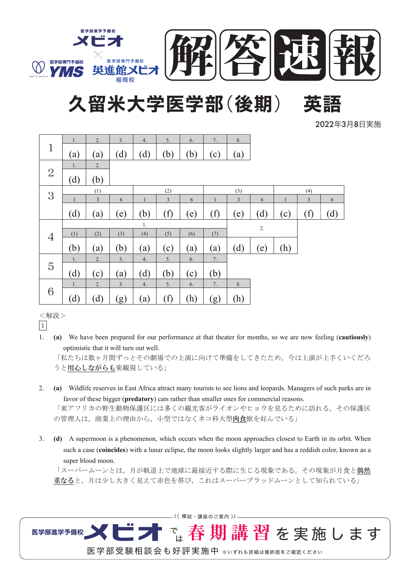

# 久留米大学医学部(後期)

2022年3月8日実施

|                | 1.           | 2.  | 3.  | 4.           | 5.        | 6.  | 7.           | 8.             |     |              |          |     |
|----------------|--------------|-----|-----|--------------|-----------|-----|--------------|----------------|-----|--------------|----------|-----|
| $\mathbf 1$    | (a)          | (a) | (d) | (d)          | (b)       | (b) | (c)          | $\rm(a)$       |     |              |          |     |
|                | 1.           | 2.  |     |              |           |     |              |                |     |              |          |     |
| $\overline{2}$ | (d)          | (b) |     |              |           |     |              |                |     |              |          |     |
|                | (1)          |     |     | (2)          |           |     | (3)          |                |     | (4)          |          |     |
| 3              | $\mathbf{1}$ | 3   | 6   | $\mathbf{1}$ | 3         | 6   | $\mathbf{1}$ | $\overline{3}$ | 6   | $\mathbf{1}$ | 3        | 6   |
|                | (d)          | (a) | (e) | (b)          | (f)       | (e) | $\rm(f)$     | (e)            | (d) | (c)          | $\rm(f)$ | (d) |
|                | 1.           |     |     |              |           |     |              | 2.             |     |              |          |     |
| $\overline{4}$ | (1)          | (2) | (3) | (4)          | (5)       | (6) | (7)          |                |     |              |          |     |
|                | (b)          | (a) | (b) | (a)          | $\rm (c)$ | (a) | (a)          | (d)            | (e) | (h)          |          |     |
|                | 1.           | 2.  | 3.  | 4.           | 5.        | 6.  | 7.           |                |     |              |          |     |
| 5              |              |     |     |              |           |     |              |                |     |              |          |     |
|                | (d)          | (c) | (a) | (d)          | (b)       | (c) | (b)          |                |     |              |          |     |
| 6              | 1.           | 2.  | 3.  | 4.           | 5.        | 6.  | 7.           | 8.             |     |              |          |     |

<解説>

 $|1\rangle$ 

1. **(a)** We have been prepared for our performance at that theater for months, so we are now feeling (**cautiously**) optimistic that it will turn out well.

「私たちは数ヶ月間ずっとその劇場での上演に向けて準備をしてきたため、今は上演が上手くいくだろ うと用心しながらも楽観視している」

- 2. **(a)** Wildlife reserves in East Africa attract many tourists to see lions and leopards. Managers of such parks are in favor of these bigger (**predatory**) cats rather than smaller ones for commercial reasons. 「東アフリカの野生動物保護区には多くの観光客がライオンやヒョウを見るために訪れる。その保護区 の管理人は、商業上の理由から、小型ではなくネコ科大型肉食獣を好んでいる」
- 3. **(d)** A supermoon is a phenomenon, which occurs when the moon approaches closest to Earth in its orbit. When such a case (**coincides**) with a lunar eclipse, the moon looks slightly larger and has a reddish color, known as a super blood moon.

「スーパームーンとは、月が軌道上で地球に最接近する際に生じる現象である。その現象が月食と 重なると、月は少し大きく見えて赤色を帯び、これはスーパーブラッドムーンとして知られている」

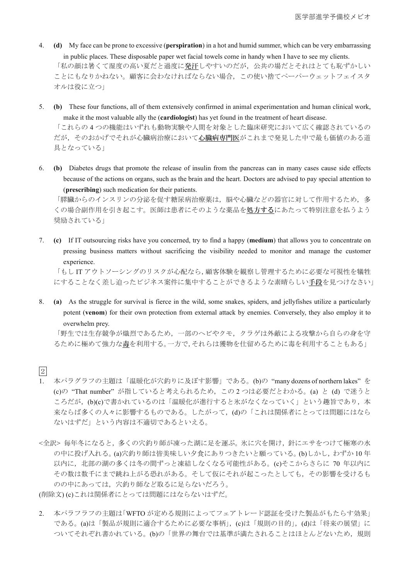- 4. **(d)** My face can be prone to excessive (**perspiration**) in a hot and humid summer, which can be very embarrassing in public places. These disposable paper wet facial towels come in handy when I have to see my clients. 「私の顔は暑くて湿度の高い夏だと過度に発汗しやすいのだが、公共の場だとそれはとても恥ずかしい ことにもなりかねない。顧客に会わなければならない場合、この使い捨てペーパーウェットフェイスタ オルは役に立つ」
- 5. **(b)** These four functions, all of them extensively confirmed in animal experimentation and human clinical work, make it the most valuable ally the (**cardiologist**) has yet found in the treatment of heart disease. 「これらの4つの機能はいずれも動物実験や人間を対象とした臨床研究において広く確認されているの

だが、そのおかげでそれが心臓病だにおいて心臓病専門医がこれまで発見した中で最も価値のある道 具となっている!

6. **(b)** Diabetes drugs that promote the release of insulin from the pancreas can in many cases cause side effects because of the actions on organs, such as the brain and the heart. Doctors are advised to pay special attention to (**prescribing**) such medication for their patients.

「膵臓からのインスリンの分泌を促す糖尿病治療薬は、脳や心臓などの器官に対して作用するため、多 くの場合副作用を引き起こす。医師は患者にそのような薬品を処方するにあたって特別注意を払うよう 奨励されている!

7. **(c)** If IT outsourcing risks have you concerned, try to find a happy (**medium**) that allows you to concentrate on pressing business matters without sacrificing the visibility needed to monitor and manage the customer experience.

「もしIT アウトソーシングのリスクが心配なら、顧客体験を観察し管理するために必要な可視性を犠牲 にすることなく差し迫ったビジネス案件に集中することができるような素晴らしい手段を見つけなさい」

8. **(a)** As the struggle for survival is fierce in the wild, some snakes, spiders, and jellyfishes utilize a particularly potent (**venom**) for their own protection from external attack by enemies. Conversely, they also employ it to overwhelm prey.

「野生では生存競争が熾烈であるため、一部のへビやクモ、クラゲは外敵による攻撃から自らの身を守 るために極めて強力な毒を利用する。一方で、それらは獲物を仕留めるために毒を利用することもある」

- <sup>2</sup>
- 1. 本パラグラフの主題は「温暖化が穴釣りに及ぼす影響」である。(b)の "many dozens of northern lakes" を (c)の "That number" が指していると考えられるため、この2つは必要だとわかる。(a) と (d) で迷うと ころだが、(b)(c)で書かれているのは「温暖化が進行すると氷がなくなっていく」という趣旨であり、本 来ならば多くの人々に影響するものである。したがって、(d)の「これは関係者にとっては問題にはなら ないはずだ」という内容は不適切であるといえる。
- <全訳>毎年冬になると、多くの穴釣り師が凍った湖に足を運ぶ。氷に穴を開け、針にエサをつけて極寒の水 の中に投げ入れる。(a)穴釣り師は皆美味しい夕食にありつきたいと願っている。(b)しかし、わずか10年 以内に、北部の湖の多くは冬の間ずっと凍結しなくなる可能性がある。(c)そこからさらに 70 年以内に その数は数千にまで跳ね上がる恐れがある。そして仮にそれが起こったとしても、その影響を受けるも のの中にあっては、穴釣り師など取るに足らないだろう。

(削除文) (c)これは関係者にとっては問題にはならないはずだ。

2. 本パラフラフの主題は「WFTO が定める規則によってフェアトレード認証を受けた製品がもたらす効果」 である。(a)は「製品が規則に適合するために必要な事柄」,(c)は「規則の目的」,(d)は「将来の展望」に ついてそれぞれ書かれている。(b)の「世界の舞台では基準が満たされることはほとんどないため、規則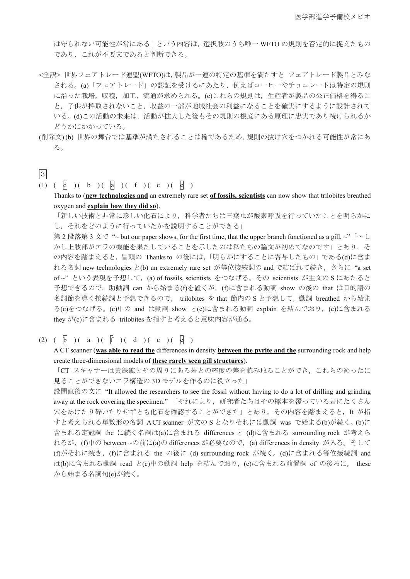は守られない可能性が常にある」という内容は、選択肢のうち唯一WFTO の規則を否定的に捉えたもの であり、これが不要文であると判断できる。

- <全訳>世界フェアトレード連盟(WFTO)は、製品が一連の特定の基準を満たすと フェアトレード製品とみな される。(a)「フェアトレード」の認証を受けるにあたり、例えばコーヒーやチョコレートは特定の規則 に沿った栽培、収穫、加工、流通が求められる。(c)これらの規則は、生産者が製品の公正価格を得るこ と、子供が搾取されないこと、収益の一部が地域社会の利益になることを確実にするように設計されて いる。(d)この活動の未来は、活動が拡大した後もその規則の根底にある原理に忠実であり続けられるか どうかにかかっている。
- (削除文)(b) 世界の舞台では基準が満たされることは稀であるため, 規則の抜け穴をつかれる可能性が常にあ  $\delta$ .

## 㸱

- (1)  $(\begin{array}{c} 1) \\ 0 \end{array})$   $(\begin{array}{c} 1) \\ 0 \end{array})$   $(\begin{array}{c} 1) \\ 0 \end{array})$   $(\begin{array}{c} 1) \\ 0 \end{array})$ 
	- Thanks to (**new technologies and** an extremely rare set **of fossils, scientists** can now show that trilobites breathed oxygen and **explain how they did so**).

「新しい技術と非常に珍しい化石により、科学者たちは三葉虫が酸素呼吸を行っていたことを明らかに し、それをどのように行っていたかを説明することができる」

第2 段落第 3 文で " ~ but our paper shows, for the first time, that the upper branch functioned as a gill, ~"  $\lceil \sim \text{L} \rceil$ かし上肢部がエラの機能を果たしていることを示したのは私たちの論文が初めてなのです」とあり、そ の内容を踏まえると、冒頭の Thanks to の後には、「明らかにすることに寄与したもの」である(d)に含ま れる名詞 new technologies と(b) an extremely rare set が等位接続詞の and で結ばれて続き、さらに "a set of~"という表現を予想して, (a) of fossils, scientists をつなげる。その scientists が主文の S にあたると 予想できるので,助動詞 can から始まる(f)を置くが,(f)に含まれる動詞 show の後の that は目的語の 名詞節を導く接続詞と予想できるので, trilobites を that 節内の S と予想して,動詞 breathed から始ま る(c)をつなげる。(c)中の and は動詞 show と(e)に含まれる動詞 explain を結んでおり, (e)に含まれる they が(c)に含まれる trilobites を指すと考えると意味内容が通る。

(2)  $(\begin{array}{c} 1 \end{array}) (\begin{array}{c} a \end{array}) (\begin{array}{c} 1 \end{array}) (\begin{array}{c} d \end{array}) (\begin{array}{c} c \end{array}) (\begin{array}{c} c \end{array}) (\begin{array}{c} e \end{array})$ 

A CT scanner (**was able to read the** differences in density **between the pyrite and the** surrounding rock and help create three-dimensional models of **these rarely seen gill structures**).

「CT スキャナーは黄鉄鉱とその周りにある岩との密度の差を読み取ることができ、これらのめったに 見ることができないエラ構造の3Dモデルを作るのに役立った」

設問直後の文に "It allowed the researchers to see the fossil without having to do a lot of drilling and grinding away at the rock covering the specimen."「それにより、研究者たちはその標本を覆っている岩にたくさん 穴をあけたり砕いたりせずとも化石を確認することができた」とあり、その内容を踏まえると、It が指 すと考えられる単数形の名詞 ACT scanner が文のSとなりそれには動詞 was で始まる(b)が続く。(b)に 含まれる定冠詞 the に続く名詞は(a)に含まれる differences と (d)に含まれる surrounding rock が考えら れるが, (f)中の between ~の前に(a)の differences が必要なので, (a) differences in density が入る。そして (f)がそれに続き,(f)に含まれる the の後に (d) surrounding rock が続く。(d)に含まれる等位接続詞 and は(b)に含まれる動詞 read と(c)中の動詞 help を結んでおり, (c)に含まれる前置詞 of の後ろに, these から始まる名詞句(e)が続く。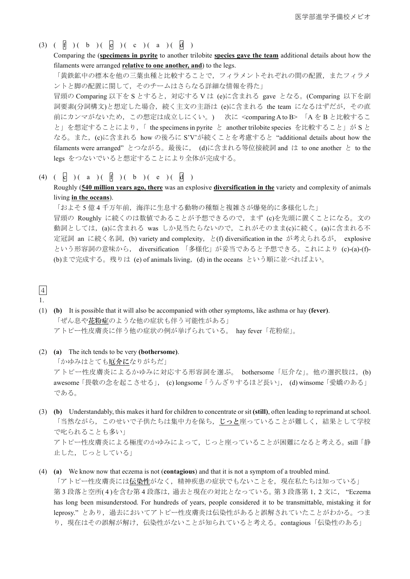(3)  $(\begin{array}{c} 1 \ 1 \end{array})(\begin{array}{c} 1 \ 1 \end{array})(\begin{array}{c} 1 \ 1 \end{array})(\begin{array}{c} 1 \ 1 \end{array})(\begin{array}{c} 1 \ 1 \end{array})(\begin{array}{c} 1 \ 1 \end{array})(\begin{array}{c} 1 \ 1 \end{array})(\begin{array}{c} 1 \ 1 \end{array})(\begin{array}{c} 1 \ 1 \end{array})(\begin{array}{c} 1 \ 1 \end{array})(\begin{array}{c} 1 \ 1 \end{array})(\begin{array}{c} 1 \ 1 \end{array})(\begin{array}{c} 1 \ 1$ 

Comparing the (**specimens in pyrite** to another trilobite **species gave the team** additional details about how the filaments were arranged **relative to one another, and**) to the legs.

「黄鉄鉱中の標本を他の三葉虫種と比較することで,フィラメントそれぞれの間の配置,またフィラメ ントと脚の配置に関して、そのチームはさらなる詳細な情報を得た」

冒頭の Comparing 以下をS とすると,対応するVは (e)に含まれる gave となる。(Comparing 以下を副 詞要素(分詞構文)と想定した場合,続く主文の主語は (e)に含まれる the team になるはずだが,その直 前にカンマがないため、この想定は成立しにくい。) 次に <comparing A to B> 「A を B と比較するこ と」を想定することにより, 「 the specimens in pyrite と another trilobite species を比較すること」が S と なる。また, (c)に含まれる how の後ろに S'V'が続くことを考慮すると "additional details about how the filaments were arranged" とつながる。最後に, (d)に含まれる等位接続詞 and は to one another と to the legs をつないでいると想定することにより全体が完成する。

(4)  $(\begin{array}{c} 0 \end{array}) (\begin{array}{c} a \end{array}) (\begin{array}{c} 0 \end{array}) (\begin{array}{c} 0 \end{array}) (\begin{array}{c} b \end{array}) (\begin{array}{c} c \end{array}) (\begin{array}{c} c \end{array})$ 

Roughly (**540 million years ago, there** was an explosive **diversification in the** variety and complexity of animals living **in the oceans**).

「およそ5億4千万年前,海洋に生息する動物の種類と複雑さが爆発的に多様化した」 冒頭の Roughly に続くのは数値であることが予想できるので、まず (c)を先頭に置くことになる。文の 動詞としては,(a)に含まれる was しか見当たらないので,これがそのまま(c)に続く。(a)に含まれる不 定冠詞 an に続く名詞, (b) variety and complexity, と(f) diversification in the が考えられるが, explosive という形容詞の意味から, diversification 「多様化」が妥当であると予想できる。これにより (c)-(a)-(f)-(b)まで完成する。残りは (e) of animals living, (d) in the oceans という順に並べればよい。

 $\sqrt{4}$ 

#### 1.

- (1) **(b)** It is possible that it will also be accompanied with other symptoms, like asthma or hay **(fever)**. 「ぜん息や花粉症のような他の症状も伴う可能性がある」 アトピー性皮膚炎に伴う他の症状の例が挙げられている。 hay fever「花粉症」。
- (2) **(a)** The itch tends to be very **(bothersome)**. 「かゆみはとても<u>厄介に</u>なりがちだ」 アトピー性皮膚炎によるかゆみに対応する形容詞を選ぶ。 bothersome「厄介な」。他の選択肢は, (b) awesome「畏敬の念を起こさせる」, (c) longsome「うんざりするほど長い」, (d) winsome「愛嬌のある」 である。
- (3) **(b)** Understandably, this makes it hard for children to concentrate or sit **(still)**, often leading to reprimand at school. 「当然ながら、このせいで子供たちは集中力を保ち、じっと座っていることが難しく、結果として学校 で叱られることも多い」 アトピー性皮膚炎による極度のかゆみによって、じっと座っていることが困難になると考える。still「静 止した,じっとしている」
- (4) **(a)** We know now that eczema is not (**contagious**) and that it is not a symptom of a troubled mind.

「アトピー性皮膚炎には伝染性がなく、精神疾患の症状でもないことを、現在私たちは知っている」 第3段落と空所(4)を含む第4段落は、過去と現在の対比となっている。第3段落第1,2文に, "Eczema has long been misunderstood. For hundreds of years, people considered it to be transmittable, mistaking it for leprosy."とあり、過去においてアトピー性皮膚炎は伝染性があると誤解されていたことがわかる。つま り, 現在はその誤解が解け, 伝染性がないことが知られていると考える。contagious「伝染性のある」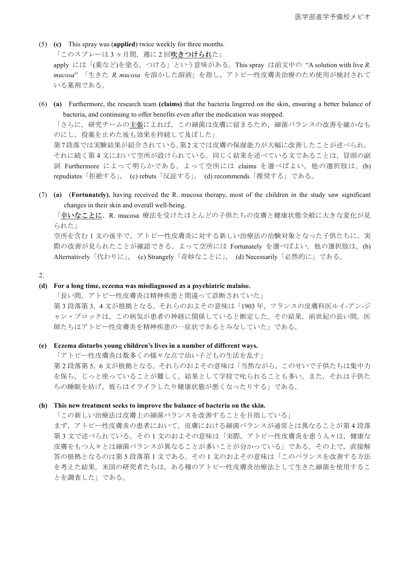- (5) **(c)** This spray was (**applied**) twice weekly for three months. 「このスプレーは3ヶ月間、週に2回吹きつけられた」 apply には「(薬など)を塗る, つける」という意味がある。This spray は前文中の "A solution with live *R*.  $mucosa$ , 「生きた R. mucosa を溶かした溶液」を指し、アトピー性皮膚炎治療のため使用が検討されて いる薬剤である。
- (6) **(a)** Furthermore, the research team **(claims)** that the bacteria lingered on the skin, ensuring a better balance of bacteria, and continuing to offer benefits even after the medication was stopped.

「さらに、研究チームの主張によれば、この細菌は皮膚に留まるため、細菌バランスの改善を確かなも のにし、投薬を止めた後も効果を持続して及ぼした」

第7段落では実験結果が紹介されている。第2文では皮膚の保湿能力が大幅に改善したことが述べられ, それに続く第4文において空所が設けられている。同じく結果を述べている文であることは、冒頭の副 詞 Furthermore によって明らかである。よって空所には claims を選べばよい。他の選択肢は, (b) repudiates「拒絶する」, (c) rebuts「反証する」, (d) recommends「推奨する」である。

(7) **(a)** (**Fortunately)**, having received the R. mucosa therapy, most of the children in the study saw significant changes in their skin and overall well-being.

「幸いなことに,R. mucosa 療法を受けたほとんどの子供たちの皮膚と健康状態全般に大きな変化が見 られた」

空所を含む1文の後半で、アトピー性皮膚炎に対する新しい治療法の治験対象となった子供たちに、実 際の改善が見られたことが確認できる。よって空所には Fortunately を選べばよい。他の選択肢は、(b) Alternatively「代わりに」, (c) Strangely「奇妙なことに」, (d) Necessarily「必然的に」である。

2.

#### **(d) For a long time, eczema was misdiagnosed as a psychiatric malaise.**

「長い間、アトピー性皮膚炎は精神疾患と間違って診断されていた」 第3段落第3,4文が根拠となる。それらのおよその意味は「1903年,フランスの皮膚科医ルイ-アン-ジ ャン・ブロックは、この病気が患者の神経に関係していると断定した。その結果、前世紀の長い間、医 師たちはアトピー性皮膚炎を精神疾患の一症状であるとみなしていた」である。

#### **(e) Eczema disturbs young children's lives in a number of different ways.**

「アトピー性皮膚炎は数多くの様々な点で幼い子どもの生活を乱す」

第2段落第5,6文が根拠となる。それらのおよその意味は「当然ながら、このせいで子供たちは集中力 を保ち、じっと座っていることが難しく、結果として学校で叱られることも多い。また、それは子供た ちの睡眠を妨げ、彼らはイライラしたり健康状態が悪くなったりする」である。

#### **(h) This new treatment seeks to improve the balance of bacteria on the skin.**

「この新しい治療法は皮膚上の細菌バランスを改善することを目指している」

まず、アトピー性皮膚炎の患者において、皮膚における細菌バランスが通常とは異なることが第4段落 第3文で述べられている。その1文のおよその意味は「実際,アトピー性皮膚炎を患う人々は,健康な 皮膚をもつ人々とは細菌バランスが異なることが多いことが分かっている」である。その上で、直接解 答の根拠となるのは第5段落第1文である。その1文のおよその意味は「このバランスを改善する方法 を考えた結果、米国の研究者たちは、ある種のアトピー性皮膚炎治療法として生きた細菌を使用するこ とを調査した」である。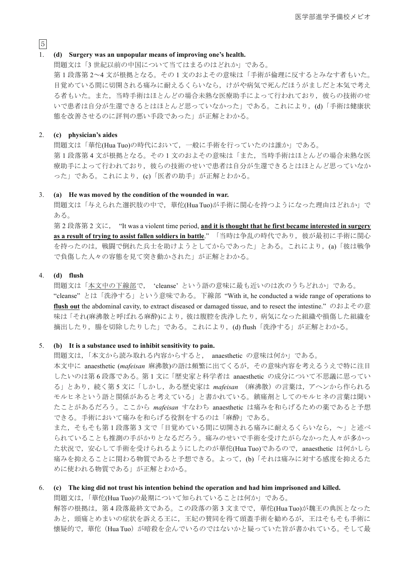### $\sqrt{5}$ 1. **(d) Surgery was an unpopular means of improving one's health.**

問題文は「3世紀以前の中国について当てはまるのはどれか」である。 第1段落第2~4文が根拠となる。その1文のおよその意味は「手術が倫理に反するとみなす者もいた。 目覚めている間に切開される痛みに耐えるくらいなら、けがや病気で死んだほうがましだと本気で考え る者もいた。また、当時手術はほとんどの場合未熟な医療助手によって行われており、彼らの技術のせ いで患者は自分が生還できるとはほとんど思っていなかった」である。これにより、(d)「手術は健康状 態を改善させるのに評判の悪い手段であった」が正解とわかる。

#### 2. **(c) physician's aides**

問題文は「華佗(Hua Tuo)の時代において、一般に手術を行っていたのは誰か」である。 第1段落第4文が根拠となる。その1文のおよその意味は「また、当時手術はほとんどの場合未熟な医 療助手によって行われており、彼らの技術のせいで患者は自分が生還できるとはほとんど思っていなか った」である。これにより, (c)「医者の助手」が正解とわかる。

#### 3. **(a) He was moved by the condition of the wounded in war.**

問題文は「与えられた選択肢の中で、華佗(Hua Tuo)が手術に関心を持つようになった理由はどれか」で ある。

第2 段落第2 文に, "It was a violent time period, and it is thought that he first became interested in surgery as a result of trying to assist fallen soldiers in battle." 「当時は争乱の時代であり, 彼が最初に手術に関心 を持ったのは、戦闘で倒れた兵士を助けようとしてからであった」とある。これにより、(a)「彼は戦争 で負傷した人々の容態を見て突き動かされた」が正解とわかる。

#### 4. **(d) flush**

問題文は「本文中の下線部で,'cleanse'という語の意味に最も近いのは次のうちどれか」である。 "cleanse" とは「洗浄する」という意味である。下線部 "With it, he conducted a wide range of operations to **flush out** the abdominal cavity, to extract diseased or damaged tissue, and to resect the intestine." のおよその意 味は「それ(麻沸散と呼ばれる麻酔)により、彼は腹腔を洗浄したり、病気になった組織や損傷した組織を 摘出したり, 腸を切除したりした」である。これにより, (d) flush「洗浄する」が正解とわかる。

#### 5. **(b) It is a substance used to inhibit sensitivity to pain.**

問題文は、「本文から読み取れる内容からすると, anaesthetic の意味は何か」である。

本文中に anaesthetic (mafeisan 麻沸散)の語は頻繁に出てくるが、その意味内容を考えるうえで特に注目 したいのは第6段落である。第1文に「歴史家と科学者は anaesthetic の成分について不思議に思ってい る」とあり,続く第5文に「しかし,ある歴史家は mafeisan (麻沸散)の言葉は,アヘンから作られる モルヒネという語と関係があると考えている」と書かれている。鎮痛剤としてのモルヒネの言葉は聞い たことがあるだろう。ここから mafeisan すなわち anaesthetic は痛みを和らげるための薬であると予想 できる。手術において痛みを和らげる役割をするのは「麻酔」である。

また、そもそも第1段落第3文で「目覚めている間に切開される痛みに耐えるくらいなら、~」と述べ られていることも推測の手がかりとなるだろう。痛みのせいで手術を受けたがらなかった人々が多かっ た状況で、安心して手術を受けられるようにしたのが華佗(Hua Tuo)であるので、anaesthetic は何かしら 痛みを抑えることに関わる物質であると予想できる。よって、(b)「それは痛みに対する感度を抑えるた めに使われる物質である」が正解とわかる。

#### 6. **(c) The king did not trust his intention behind the operation and had him imprisoned and killed.**

問題文は,「華佗(Hua Tuo)の最期について知られていることは何か」である。

解答の根拠は、第4段落最終文である。この段落の第3文までで、華佗(Hua Tuo)が魏王の典医となった あと、頭痛とめまいの症状を訴える王に、王妃の賛同を得て頭蓋手術を勧めるが、王はそもそも手術に 懐疑的で、華佗 (Hua Tuo) が暗殺を企んでいるのではないかと疑っていた旨が書かれている。そして最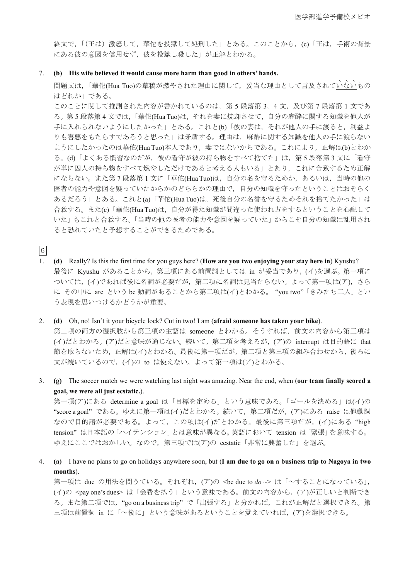終文で、「(王は) 激怒して、華佗を投獄して処刑した」とある。このことから、(c)「王は、手術の背景 にある彼の意図を信用せず、彼を投獄し殺した」が正解とわかる。

#### 7. **(b) His wife believed it would cause more harm than good in others' hands.**

問題文は,「華佗(Hua Tuo)の草稿が燃やされた理由に関して, 妥当な理由として言及されていないもの  $\sqrt{2}$ はどれか」である。

このことに関して推測された内容が書かれているのは、第5段落第3、4文、及び第7段落第1文であ る。第5段落第4文では、「華佗(Hua Tuo)は、それを妻に焼却させて、自分の麻酔に関する知識を他人が 手に入れられないようにしたかった」とある。これと(b)「彼の妻は、それが他人の手に渡ると、利益よ りも害悪をもたらすであろうと思った」は矛盾する。理由は、麻酔に関する知識を他人の手に渡らない ようにしたかったのは華佗(Hua Tuo)本人であり、妻ではないからである。これにより、正解は(b)とわか る。(d)「よくある慣習なのだが、彼の看守が彼の持ち物をすべて捨てた」は、第5段落第3文に「看守 が単に囚人の持ち物をすべて燃やしただけであると考える人もいる」とあり、これに合致するため正解 にならない。また第7段落第1文に「華佗(HuaTuo)は、自分の名を守るためか、あるいは、当時の他の 医者の能力や意図を疑っていたからかのどちらかの理由で、自分の知識を守ったということはおそらく あるだろう」とある。これと(a)「華佗(Hua Tuo)は、死後自分の名誉を守るためそれを捨てたかった」は 合致する。また(c)「華佗(Hua Tuo)は、自分が得た知識が間違った使われ方をするということを心配して いた」もこれと合致する。「当時の他の医者の能力や意図を疑っていた」からこそ自分の知識は乱用され ると恐れていたと予想することができるためである。

㸴

1. **(d)** Really? Is this the first time for you guys here? (**How are you two enjoying your stay here in**) Kyushu? 最後に Kyushu があることから、第三項にある前置詞としては in が妥当であり、(イ)を選ぶ。第一項に ついては、(イ)であれば後に名詞が必要だが、第二項に名詞は見当たらない。よって第一項は(ア)、さら に その中に are という be 動詞があることから第二項は(イ)とわかる。 "you two" 「きみたち二人」とい う表現を思いつけるかどうかが重要。

2. **(d)** Oh, no! Isn't it your bicycle lock? Cut in two! I am (**afraid someone has taken your bike**). 第二項の両方の選択肢から第三項の主語は someone とわかる。そうすれば、前文の内容から第三項は (イ)だとわかる。(ア)だと意味が通じない。続いて、第二項を考えるが, (ア)の interrupt は目的語に that 節を取らないため、正解は(イ)とわかる。最後に第一項だが、第二項と第三項の組み合わせから、後ろに 文が続いているので, (イ)の to は使えない。よって第一項は(ア)とわかる。

3. **(g)** The soccer match we were watching last night was amazing. Near the end, when (**our team finally scored a goal, we were all just ecstatic.**).

第一項(ア)にある determine a goal は「目標を定める」という意味である。「ゴールを決める」は(イ)の "score a goal" である。ゆえに第一項は(イ)だとわかる。続いて、第二項だが, (ア)にある raise は他動詞 なので目的語が必要である。よって、この項は(イ)だとわかる。最後に第三項だが、(イ)にある "high tension"は日本語の「ハイテンション」とは意味が異なる。英語において tension は「緊張」を意味する。 ゆえにここではおかしい。なので、第三項では(ア)の ecstatic「非常に興奮した」を選ぶ。

4. **(a)** I have no plans to go on holidays anywhere soon, but (**I am due to go on a business trip to Nagoya in two months**).

第一項は due の用法を問うている。それぞれ, (ア)の <be due to *do* ~> は「~することになっている」, (イ)の <pay one's dues> は「会費を払う」という意味である。前文の内容から、(ア)が正しいと判断でき る。また第二項では、"go on a business trip"で「出張する」と分かれば、これが正解だと選択できる。第 三項は前置詞 in に「~後に」という意味があるということを覚えていれば、(ア)を選択できる。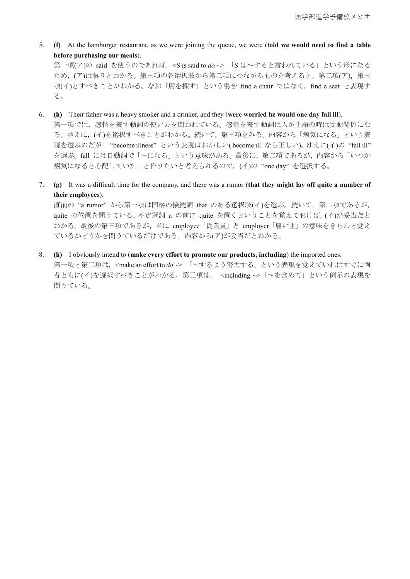5. **(f)** At the hamburger restaurant, as we were joining the queue, we were (**told we would need to find a table before purchasing our meals**).

第一項(ア)の said を使うのであれば、<S is said to *do* ~> 「S は~すると言われている」という形になる ため、(ア)は誤りとわかる。第三項の各選択肢から第二項につながるものを考えると、第二項(ア)、第三 項(イ)とすべきことがわかる。なお「席を探す」という場合 find a chair ではなく, find a seat と表現す る。

- 6. **(h)** Their father was a heavy smoker and a drinker, and they (**were worried he would one day fall ill**). 第一項では、感情を表す動詞の使い方を問われている。感情を表す動詞は人が主語の時は受動関係にな る。ゆえに、(イ)を選択すべきことがわかる。続いて、第三項をみる。内容から「病気になる」という表 現を選ぶのだが、 "become illness" という表現はおかしい(become ill なら正しい)。ゆえに(イ)の "fall ill" を選ぶ。fall には自動詞で「~になる」という意味がある。最後に、第二項であるが、内容から「いつか 病気になると心配していた」と作りたいと考えられるので, (イ)の "one day" を選択する。
- 7. **(g)** It was a difficult time for the company, and there was a rumor (**that they might lay off quite a number of their employees**).

直前の"a rumor"から第一項は同格の接続詞 that のある選択肢(イ)を選ぶ。続いて、第二項であるが, quite の位置を問うている。不定冠詞 a の前に quite を置くということを覚えておけば、(イ)が妥当だと わかる。最後の第三項であるが、単に employee 「従業員」と employer 「雇い主」の意味をきちんと覚え ているかどうかを問うているだけである。内容から(ア)が妥当だとわかる。

8. **(h)** I obviously intend to (**make every effort to promote our products, including**) the imported ones.

第一項と第二項は、<make an effort to do ~> 「~するよう努力する」という表現を覚えていればすぐに両 者ともに(イ)を選択すべきことがわかる。第三項は、 <including ~> 「~を含めて」という例示の表現を 問うている。